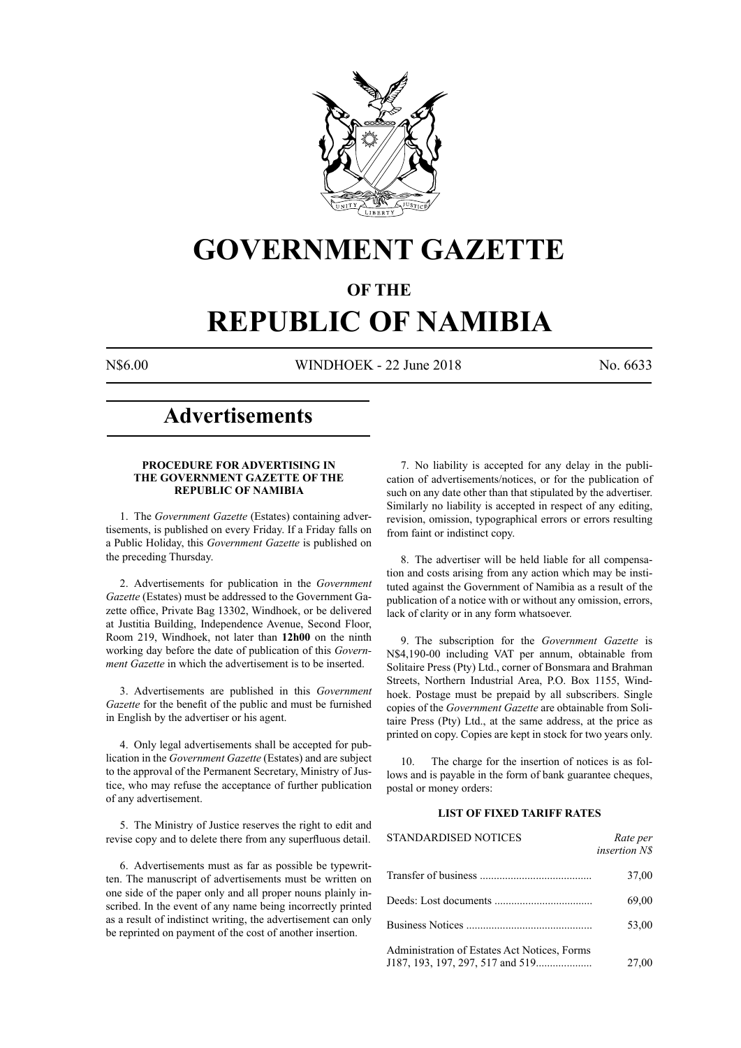

# **GOVERNMENT GAZETTE**

# **OF THE**

# **REPUBLIC OF NAMIBIA**

N\$6.00 WINDHOEK - 22 June 2018 No. 6633

# **Advertisements**

# **PROCEDURE FOR ADVERTISING IN THE GOVERNMENT GAZETTE OF THE REPUBLIC OF NAMIBIA**

1. The *Government Gazette* (Estates) containing advertisements, is published on every Friday. If a Friday falls on a Public Holiday, this *Government Gazette* is published on the preceding Thursday.

2. Advertisements for publication in the *Government Gazette* (Estates) must be addressed to the Government Gazette office, Private Bag 13302, Windhoek, or be delivered at Justitia Building, Independence Avenue, Second Floor, Room 219, Windhoek, not later than **12h00** on the ninth working day before the date of publication of this *Government Gazette* in which the advertisement is to be inserted.

3. Advertisements are published in this *Government Gazette* for the benefit of the public and must be furnished in English by the advertiser or his agent.

4. Only legal advertisements shall be accepted for publication in the *Government Gazette* (Estates) and are subject to the approval of the Permanent Secretary, Ministry of Justice, who may refuse the acceptance of further publication of any advertisement.

5. The Ministry of Justice reserves the right to edit and revise copy and to delete there from any superfluous detail.

6. Advertisements must as far as possible be typewritten. The manuscript of advertisements must be written on one side of the paper only and all proper nouns plainly inscribed. In the event of any name being incorrectly printed as a result of indistinct writing, the advertisement can only be reprinted on payment of the cost of another insertion.

7. No liability is accepted for any delay in the publication of advertisements/notices, or for the publication of such on any date other than that stipulated by the advertiser. Similarly no liability is accepted in respect of any editing, revision, omission, typographical errors or errors resulting from faint or indistinct copy.

8. The advertiser will be held liable for all compensation and costs arising from any action which may be instituted against the Government of Namibia as a result of the publication of a notice with or without any omission, errors, lack of clarity or in any form whatsoever.

9. The subscription for the *Government Gazette* is N\$4,190-00 including VAT per annum, obtainable from Solitaire Press (Pty) Ltd., corner of Bonsmara and Brahman Streets, Northern Industrial Area, P.O. Box 1155, Windhoek. Postage must be prepaid by all subscribers. Single copies of the *Government Gazette* are obtainable from Solitaire Press (Pty) Ltd., at the same address, at the price as printed on copy. Copies are kept in stock for two years only.

10. The charge for the insertion of notices is as follows and is payable in the form of bank guarantee cheques, postal or money orders:

# **LIST OF FIXED TARIFF RATES**

| <b>STANDARDISED NOTICES</b>                  | Rate per<br><i>insertion NS</i> |
|----------------------------------------------|---------------------------------|
|                                              | 37,00                           |
|                                              | 69,00                           |
|                                              | 53,00                           |
| Administration of Estates Act Notices, Forms | 27,00                           |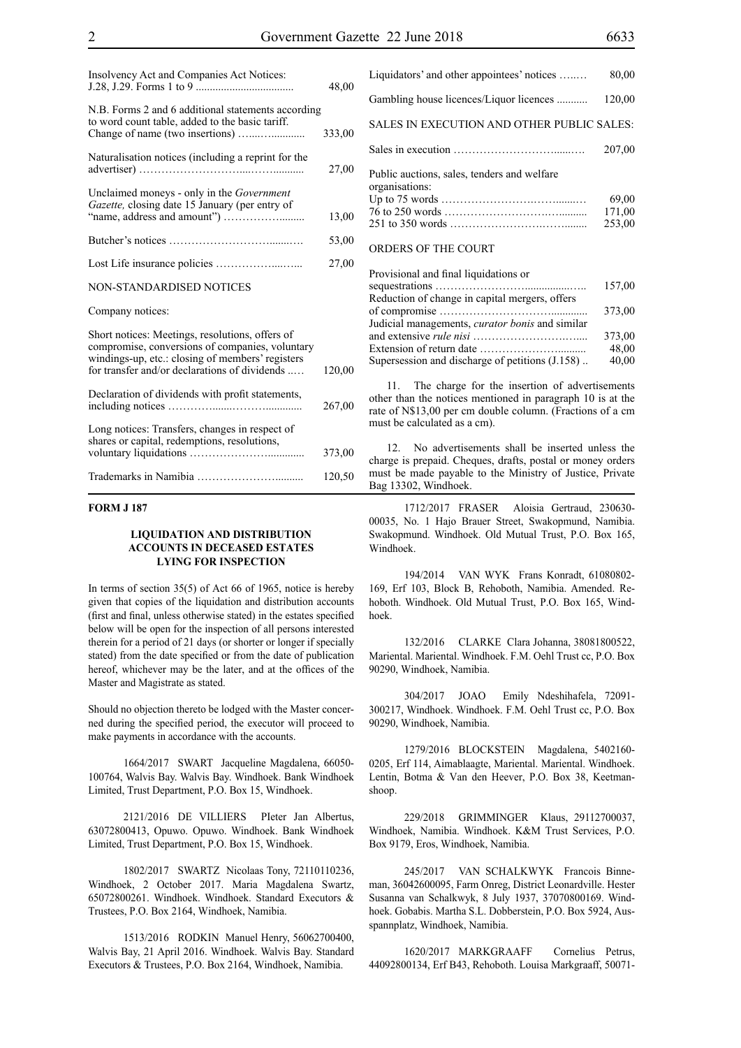| Insolvency Act and Companies Act Notices:                                                                                                                                                               | 48,00  |
|---------------------------------------------------------------------------------------------------------------------------------------------------------------------------------------------------------|--------|
| N.B. Forms 2 and 6 additional statements according<br>to word count table, added to the basic tariff.                                                                                                   | 333,00 |
| Naturalisation notices (including a reprint for the                                                                                                                                                     | 27,00  |
| Unclaimed moneys - only in the Government<br>Gazette, closing date 15 January (per entry of                                                                                                             | 13,00  |
|                                                                                                                                                                                                         | 53,00  |
|                                                                                                                                                                                                         | 27,00  |
| NON-STANDARDISED NOTICES                                                                                                                                                                                |        |
| Company notices:                                                                                                                                                                                        |        |
| Short notices: Meetings, resolutions, offers of<br>compromise, conversions of companies, voluntary<br>windings-up, etc.: closing of members' registers<br>for transfer and/or declarations of dividends | 120,00 |
| Declaration of dividends with profit statements,                                                                                                                                                        | 267,00 |
| Long notices: Transfers, changes in respect of<br>shares or capital, redemptions, resolutions,                                                                                                          | 373,00 |
|                                                                                                                                                                                                         | 120,50 |

# **FORM J 187**

# **LIQUIDATION AND DISTRIBUTION ACCOUNTS IN DECEASED ESTATES LYING FOR INSPECTION**

In terms of section 35(5) of Act 66 of 1965, notice is hereby given that copies of the liquidation and distribution accounts (first and final, unless otherwise stated) in the estates specified below will be open for the inspection of all persons interested therein for a period of 21 days (or shorter or longer if specially stated) from the date specified or from the date of publication hereof, whichever may be the later, and at the offices of the Master and Magistrate as stated.

Should no objection thereto be lodged with the Master concerned during the specified period, the executor will proceed to make payments in accordance with the accounts.

1664/2017 SWART Jacqueline Magdalena, 66050- 100764, Walvis Bay. Walvis Bay. Windhoek. Bank Windhoek Limited, Trust Department, P.O. Box 15, Windhoek.

2121/2016 DE VILLIERS PIeter Jan Albertus, 63072800413, Opuwo. Opuwo. Windhoek. Bank Windhoek Limited, Trust Department, P.O. Box 15, Windhoek.

1802/2017 SWARTZ Nicolaas Tony, 72110110236, Windhoek, 2 October 2017. Maria Magdalena Swartz, 65072800261. Windhoek. Windhoek. Standard Executors & Trustees, P.O. Box 2164, Windhoek, Namibia.

1513/2016 RODKIN Manuel Henry, 56062700400, Walvis Bay, 21 April 2016. Windhoek. Walvis Bay. Standard Executors & Trustees, P.O. Box 2164, Windhoek, Namibia.

| Liquidators' and other appointees' notices                    | 80,00  |
|---------------------------------------------------------------|--------|
| Gambling house licences/Liquor licences                       | 120,00 |
| SALES IN EXECUTION AND OTHER PUBLIC SALES:                    |        |
|                                                               | 207.00 |
| Public auctions, sales, tenders and welfare<br>organisations: |        |
|                                                               | 69,00  |
|                                                               | 171,00 |
|                                                               | 253,00 |
| <b>ORDERS OF THE COURT</b>                                    |        |

| Provisional and final liquidations or                  |        |
|--------------------------------------------------------|--------|
|                                                        | 157,00 |
| Reduction of change in capital mergers, offers         |        |
|                                                        | 373,00 |
| Judicial managements, <i>curator bonis</i> and similar |        |
|                                                        | 373,00 |
|                                                        | 48,00  |
| Supersession and discharge of petitions (J.158)        | 40,00  |

11. The charge for the insertion of advertisements other than the notices mentioned in paragraph 10 is at the rate of N\$13,00 per cm double column. (Fractions of a cm must be calculated as a cm).

12. No advertisements shall be inserted unless the charge is prepaid. Cheques, drafts, postal or money orders must be made payable to the Ministry of Justice, Private Bag 13302, Windhoek.

1712/2017 FRASER Aloisia Gertraud, 230630- 00035, No. 1 Hajo Brauer Street, Swakopmund, Namibia. Swakopmund. Windhoek. Old Mutual Trust, P.O. Box 165, Windhoek.

194/2014 VAN WYK Frans Konradt, 61080802- 169, Erf 103, Block B, Rehoboth, Namibia. Amended. Rehoboth. Windhoek. Old Mutual Trust, P.O. Box 165, Windhoek.

132/2016 CLARKE Clara Johanna, 38081800522, Mariental. Mariental. Windhoek. F.M. Oehl Trust cc, P.O. Box 90290, Windhoek, Namibia.

304/2017 JOAO Emily Ndeshihafela, 72091- 300217, Windhoek. Windhoek. F.M. Oehl Trust cc, P.O. Box 90290, Windhoek, Namibia.

1279/2016 BLOCKSTEIN Magdalena, 5402160- 0205, Erf 114, Aimablaagte, Mariental. Mariental. Windhoek. Lentin, Botma & Van den Heever, P.O. Box 38, Keetmanshoop.

229/2018 GRIMMINGER Klaus, 29112700037, Windhoek, Namibia. Windhoek. K&M Trust Services, p.o. Box 9179, Eros, Windhoek, Namibia.

245/2017 VAN SCHALKWYK Francois Binneman, 36042600095, Farm Onreg, District Leonardville. Hester Susanna van Schalkwyk, 8 July 1937, 37070800169. Windhoek. Gobabis. Martha S.L. Dobberstein, P.O. Box 5924, Ausspannplatz, Windhoek, Namibia.

1620/2017 MARKGRAAFF Cornelius Petrus, 44092800134, Erf B43, Rehoboth. Louisa Markgraaff, 50071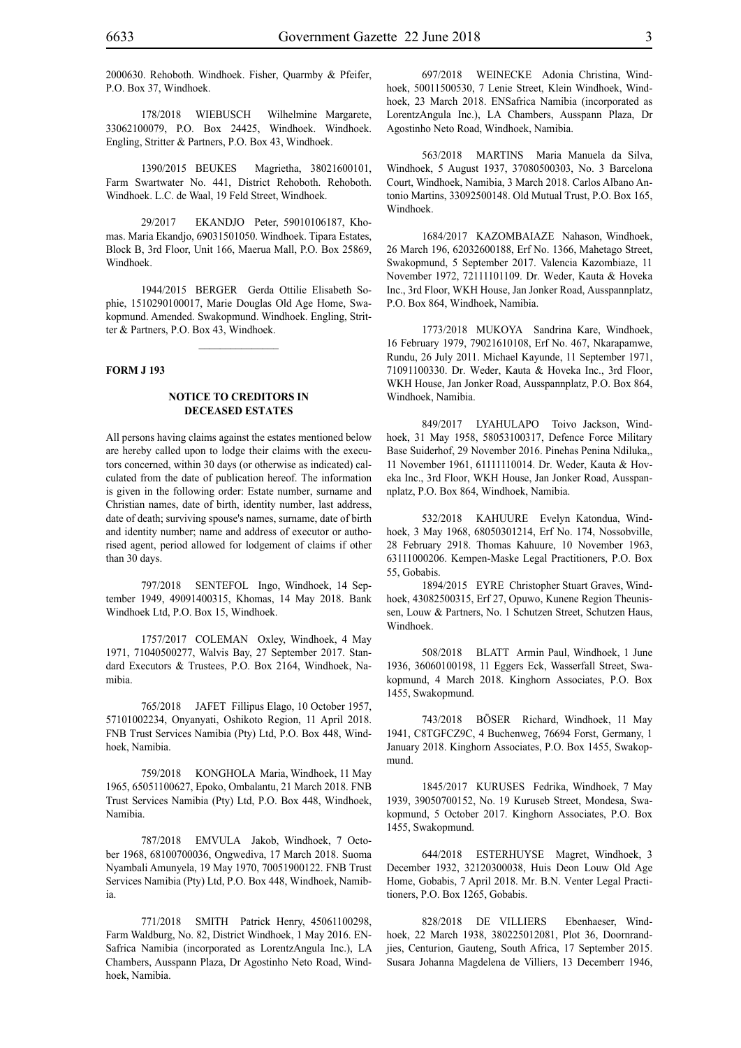2000630. Rehoboth. Windhoek. Fisher, Quarmby & Pfeifer, P.O. Box 37, Windhoek.

178/2018 WIEBUSCH Wilhelmine Margarete, 33062100079, P.O. Box 24425, Windhoek. Windhoek. Engling, Stritter & Partners, P.O. Box 43, Windhoek.

1390/2015 BEUKES Magrietha, 38021600101, Farm Swartwater No. 441, District Rehoboth. Rehoboth. Windhoek. L.C. de Waal, 19 Feld Street, Windhoek.

29/2017 EKANDJO Peter, 59010106187, Khomas. Maria Ekandjo, 69031501050. Windhoek. Tipara Estates, Block B, 3rd Floor, Unit 166, Maerua Mall, P.O. Box 25869, Windhoek.

1944/2015 BERGER Gerda Ottilie Elisabeth Sophie, 1510290100017, Marie Douglas Old Age Home, Swakopmund. Amended. Swakopmund. Windhoek. Engling, Stritter & Partners, P.O. Box 43, Windhoek.

 $\frac{1}{2}$ 

#### **FORM J 193**

#### **NOTICE TO CREDITORS IN DECEASED ESTATES**

All persons having claims against the estates mentioned below are hereby called upon to lodge their claims with the executors concerned, within 30 days (or otherwise as indicated) calculated from the date of publication hereof. The information is given in the following order: Estate number, surname and Christian names, date of birth, identity number, last address, date of death; surviving spouse's names, surname, date of birth and identity number; name and address of executor or authorised agent, period allowed for lodgement of claims if other than 30 days.

797/2018 SENTEFOL Ingo, Windhoek, 14 September 1949, 49091400315, Khomas, 14 May 2018. Bank Windhoek Ltd, P.O. Box 15, Windhoek.

1757/2017 COLEMAN Oxley, Windhoek, 4 May 1971, 71040500277, Walvis Bay, 27 September 2017. Standard Executors & Trustees, P.O. Box 2164, Windhoek, Namibia.

765/2018 JAFET Fillipus Elago, 10 October 1957, 57101002234, Onyanyati, Oshikoto Region, 11 April 2018. FNB Trust Services Namibia (Pty) Ltd, P.O. Box 448, Windhoek, Namibia.

759/2018 KONGHOLA Maria, Windhoek, 11 May 1965, 65051100627, Epoko, Ombalantu, 21 March 2018. FNB Trust Services Namibia (Pty) Ltd, P.O. Box 448, Windhoek, Namibia.

787/2018 EMVULA Jakob, Windhoek, 7 October 1968, 68100700036, Ongwediva, 17 March 2018. Suoma Nyambali Amunyela, 19 May 1970, 70051900122. FNB Trust Services Namibia (Pty) Ltd, P.O. Box 448, Windhoek, Namibia.

771/2018 SMITH Patrick Henry, 45061100298, Farm Waldburg, No. 82, District Windhoek, 1 May 2016. EN-Safrica Namibia (incorporated as LorentzAngula Inc.), LA Chambers, Ausspann Plaza, Dr Agostinho Neto Road, Windhoek, Namibia.

697/2018 WEINECKE Adonia Christina, Windhoek, 50011500530, 7 Lenie Street, Klein Windhoek, Windhoek, 23 March 2018. ENSafrica Namibia (incorporated as LorentzAngula Inc.), LA Chambers, Ausspann Plaza, Dr Agostinho Neto Road, Windhoek, Namibia.

563/2018 MARTINS Maria Manuela da Silva, Windhoek, 5 August 1937, 37080500303, No. 3 Barcelona Court, Windhoek, Namibia, 3 March 2018. Carlos Albano Antonio Martins, 33092500148. Old Mutual Trust, P.O. Box 165, Windhoek.

1684/2017 KAZOMBAIAZE Nahason, Windhoek, 26 March 196, 62032600188, Erf No. 1366, Mahetago Street, Swakopmund, 5 September 2017. Valencia Kazombiaze, 11 November 1972, 72111101109. Dr. Weder, Kauta & Hoveka Inc., 3rd Floor, WKH House, Jan Jonker Road, Ausspannplatz, P.O. Box 864, Windhoek, Namibia.

1773/2018 MUKOYA Sandrina Kare, Windhoek, 16 February 1979, 79021610108, Erf No. 467, Nkarapamwe, Rundu, 26 July 2011. Michael Kayunde, 11 September 1971, 71091100330. Dr. Weder, Kauta & Hoveka Inc., 3rd Floor, WKH House, Jan Jonker Road, Ausspannplatz, P.O. Box 864, Windhoek, Namibia.

849/2017 LYAHULAPO Toivo Jackson, Windhoek, 31 May 1958, 58053100317, Defence Force Military Base Suiderhof, 29 November 2016. Pinehas Penina Ndiluka,, 11 November 1961, 61111110014. Dr. Weder, Kauta & Hoveka Inc., 3rd Floor, WKH House, Jan Jonker Road, Ausspannplatz, P.O. Box 864, Windhoek, Namibia.

532/2018 KAHUURE Evelyn Katondua, Windhoek, 3 May 1968, 68050301214, Erf No. 174, Nossobville, 28 February 2918. Thomas Kahuure, 10 November 1963, 63111000206. Kempen-Maske Legal Practitioners, P.O. Box 55, Gobabis.

1894/2015 EYRE Christopher Stuart Graves, Windhoek, 43082500315, Erf 27, Opuwo, Kunene Region Theunissen, Louw & Partners, No. 1 Schutzen Street, Schutzen Haus, Windhoek.

508/2018 BLATT Armin Paul, Windhoek, 1 June 1936, 36060100198, 11 Eggers Eck, Wasserfall Street, Swakopmund, 4 March 2018. Kinghorn Associates, P.O. Box 1455, Swakopmund.

743/2018 BÖSER Richard, Windhoek, 11 May 1941, C8TGFCZ9C, 4 Buchenweg, 76694 Forst, Germany, 1 January 2018. Kinghorn Associates, P.O. Box 1455, Swakopmund.

1845/2017 KURUSES Fedrika, Windhoek, 7 May 1939, 39050700152, No. 19 Kuruseb Street, Mondesa, Swakopmund, 5 October 2017. Kinghorn Associates, P.O. Box 1455, Swakopmund.

644/2018 ESTERHUYSE Magret, Windhoek, 3 December 1932, 32120300038, Huis Deon Louw Old Age Home, Gobabis, 7 April 2018. Mr. B.N. Venter Legal Practitioners, P.O. Box 1265, Gobabis.

828/2018 DE VILLIERS Ebenhaeser, Windhoek, 22 March 1938, 380225012081, Plot 36, Doornrandjies, Centurion, Gauteng, South Africa, 17 September 2015. Susara Johanna Magdelena de Villiers, 13 Decemberr 1946,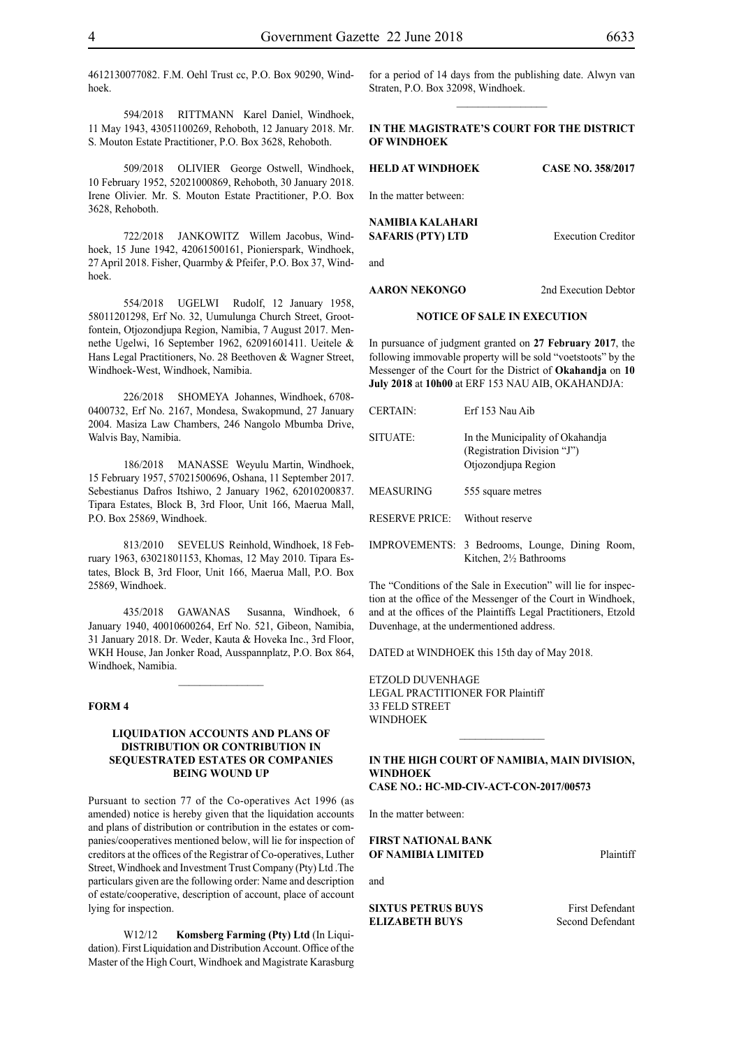4612130077082. F.M. Oehl Trust cc, P.O. Box 90290, Windhoek.

594/2018 RITTMANN Karel Daniel, Windhoek, 11 May 1943, 43051100269, Rehoboth, 12 January 2018. Mr. S. Mouton Estate Practitioner, P.O. Box 3628, Rehoboth.

509/2018 OLIVIER George Ostwell, Windhoek, 10 February 1952, 52021000869, Rehoboth, 30 January 2018. Irene Olivier. Mr. S. Mouton Estate Practitioner, P.O. Box 3628, Rehoboth.

722/2018 JANKOWITZ Willem Jacobus, Windhoek, 15 June 1942, 42061500161, Pionierspark, Windhoek, 27 April 2018. Fisher, Quarmby & Pfeifer, P.O. Box 37, Windhoek.

554/2018 UGELWI Rudolf, 12 January 1958, 58011201298, Erf No. 32, Uumulunga Church Street, Grootfontein, Otjozondjupa Region, Namibia, 7 August 2017. Mennethe Ugelwi, 16 September 1962, 62091601411. Ueitele & Hans Legal Practitioners, No. 28 Beethoven & Wagner Street, Windhoek-West, Windhoek, Namibia.

226/2018 SHOMEYA Johannes, Windhoek, 6708- 0400732, Erf No. 2167, Mondesa, Swakopmund, 27 January 2004. Masiza Law Chambers, 246 Nangolo Mbumba Drive, Walvis Bay, Namibia.

186/2018 MANASSE Weyulu Martin, Windhoek, 15 February 1957, 57021500696, Oshana, 11 September 2017. Sebestianus Dafros Itshiwo, 2 January 1962, 62010200837. Tipara Estates, Block B, 3rd Floor, Unit 166, Maerua Mall, P.O. Box 25869, Windhoek.

813/2010 SEVELUS Reinhold, Windhoek, 18 February 1963, 63021801153, Khomas, 12 May 2010. Tipara Estates, Block B, 3rd Floor, Unit 166, Maerua Mall, P.O. Box 25869, Windhoek.

435/2018 GAWANAS Susanna, Windhoek, 6 January 1940, 40010600264, Erf No. 521, Gibeon, Namibia, 31 January 2018. Dr. Weder, Kauta & Hoveka Inc., 3rd Floor, WKH House, Jan Jonker Road, Ausspannplatz, P.O. Box 864, Windhoek, Namibia.

 $\frac{1}{2}$ 

## **FORM 4**

# **LIQUIDATION ACCOUNTS AND PLANS OF DISTRIBUTION OR CONTRIBUTION IN SEQUESTRATED ESTATES OR COMPANIES BEING WOUND UP**

Pursuant to section 77 of the Co-operatives Act 1996 (as amended) notice is hereby given that the liquidation accounts and plans of distribution or contribution in the estates or companies/cooperatives mentioned below, will lie for inspection of creditors at the offices of the Registrar of Co-operatives, Luther Street, Windhoek and Investment Trust Company (Pty) Ltd .The particulars given are the following order: Name and description of estate/cooperative, description of account, place of account lying for inspection.

W12/12 **Komsberg Farming (Pty) Ltd** (In Liquidation). First Liquidation and Distribution Account. Office of the Master of the High Court, Windhoek and Magistrate Karasburg for a period of 14 days from the publishing date. Alwyn van Straten, P.O. Box 32098, Windhoek.  $\frac{1}{2}$ 

# **In the MAGISTRATE'S COURT for the DISTRICT of WINDHOEK**

**HELD at WINDHOEK Case No. 358/2017** In the matter between: **NAMIBIA KALAHARI SAFARIS (PTY) LTD** Execution Creditor and

**AARON NEKONGO** 2nd Execution Debtor

# **NOTICE OF SALE IN EXECUTION**

In pursuance of judgment granted on **27 February 2017**, the following immovable property will be sold "voetstoots" by the Messenger of the Court for the District of **Okahandja** on **10 July 2018** at **10h00** at ERF 153 NAU AIB, OKAHANDJA:

| <b>CERTAIN:</b>       | Erf 153 Nau Aib                                                                        |
|-----------------------|----------------------------------------------------------------------------------------|
| SITUATE:              | In the Municipality of Okahandja<br>(Registration Division "J")<br>Otjozondjupa Region |
| MEASURING             | 555 square metres                                                                      |
| <b>RESERVE PRICE:</b> | Without reserve                                                                        |
|                       | IMPROVEMENTS: 3 Bedrooms, Lounge, Dining Room,                                         |

The "Conditions of the Sale in Execution" will lie for inspection at the office of the Messenger of the Court in Windhoek,

Kitchen, 2½ Bathrooms

and at the offices of the Plaintiffs Legal Practitioners, Etzold Duvenhage, at the undermentioned address.

DATED at WINDHOEK this 15th day of May 2018.

ETZOLD DUVENHAGE LEGAL PRACTITIONER FOR Plaintiff 33 FELD STREET **WINDHOEK** 

#### **IN THE HIGH COURT OF NAMIBIA, MAIN DIVISION, WINDHOEK CASE NO.: HC-MD-CIV-ACT-CON-2017/00573**

 $\frac{1}{2}$ 

In the matter between:

**FIRST NATIONAL BANK OF NAMIBIA LIMITED** Plaintiff

and

**SIXTUS PETRUS BUYS** First Defendant **ELIZABETH BUYS** Second Defendant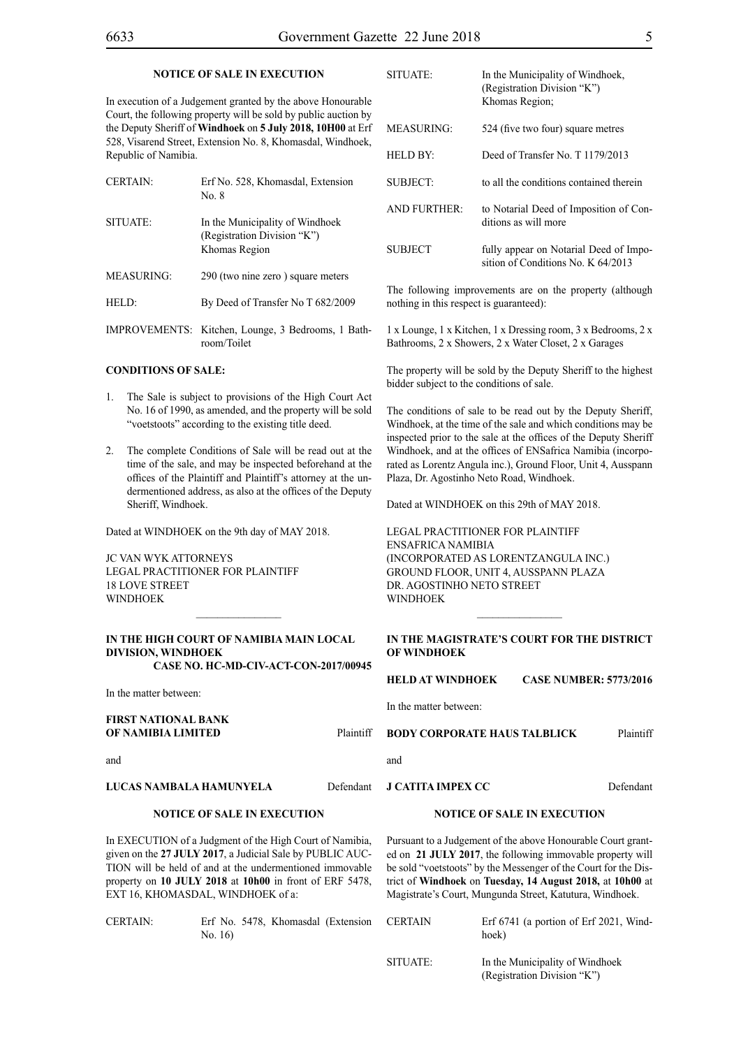#### **NOTICE OF SALE IN EXECUTION**

In execution of a Judgement granted by the above Honourable Court, the following property will be sold by public auction by the Deputy Sheriff of **Windhoek** on **5 July 2018, 10H00** at Erf 528, Visarend Street, Extension No. 8, Khomasdal, Windhoek, Republic of Namibia.

| CERTAIN:          | Erf No. 528, Khomasdal, Extension<br>No. 8                                      |
|-------------------|---------------------------------------------------------------------------------|
| SITUATE:          | In the Municipality of Windhoek<br>(Registration Division "K")<br>Khomas Region |
| MEASURING:        | 290 (two nine zero) square meters                                               |
| HELD <sup>.</sup> | By Deed of Transfer No T 682/2009                                               |
|                   |                                                                                 |

IMPROVEMENTS: Kitchen, Lounge, 3 Bedrooms, 1 Bathroom/Toilet

## **CONDITIONS OF SALE:**

- 1. The Sale is subject to provisions of the High Court Act No. 16 of 1990, as amended, and the property will be sold "voetstoots" according to the existing title deed.
- 2. The complete Conditions of Sale will be read out at the time of the sale, and may be inspected beforehand at the offices of the Plaintiff and Plaintiff's attorney at the undermentioned address, as also at the offices of the Deputy Sheriff, Windhoek.

Dated at WINDHOEK on the 9th day of MAY 2018.

JC VAN WYK ATTORNEYS Legal Practitioner for Plaintiff 18 LOVE STREET **WINDHOFK** 

# **IN THE HIGH COURT OF NAMIBIA MAIN LOCAL DIVISION, WINDHOEK Case No. HC-MD-CIV-ACT-CON-2017/00945**

 $\mathcal{L}=\mathcal{L}^{\mathcal{L}}$ 

In the matter between:

**FIRST NATIONAL BANK OF NAMIBIA LIMITED** Plaintiff

and

# **LUCAS NAMBALA HAMUNYELA** Defendant

# **NOTICE OF SALE IN EXECUTION**

In EXECUTION of a Judgment of the High Court of Namibia, given on the **27 JULY 2017**, a Judicial Sale by PUBLIC AUC-TION will be held of and at the undermentioned immovable property on **10 JULY 2018** at **10h00** in front of ERF 5478, EXT 16, KHOMASDAL, WINDHOEK of a:

CERTAIN: Erf No. 5478, Khomasdal (Extension No. 16)

| <b>SITUATE:</b>     | In the Municipality of Windhoek,<br>(Registration Division "K")<br>Khomas Region; |
|---------------------|-----------------------------------------------------------------------------------|
| MEASURING:          | 524 (five two four) square metres                                                 |
| HELD BY:            | Deed of Transfer No. T 1179/2013                                                  |
| SUBJECT:            | to all the conditions contained therein                                           |
| <b>AND FURTHER:</b> | to Notarial Deed of Imposition of Con-<br>ditions as will more                    |
| SUBJECT             | fully appear on Notarial Deed of Impo-<br>sition of Conditions No. K 64/2013      |

The following improvements are on the property (although nothing in this respect is guaranteed):

1 x Lounge, 1 x Kitchen, 1 x Dressing room, 3 x Bedrooms, 2 x Bathrooms, 2 x Showers, 2 x Water Closet, 2 x Garages

The property will be sold by the Deputy Sheriff to the highest bidder subject to the conditions of sale.

The conditions of sale to be read out by the Deputy Sheriff, Windhoek, at the time of the sale and which conditions may be inspected prior to the sale at the offices of the Deputy Sheriff Windhoek, and at the offices of ENSafrica Namibia (incorporated as Lorentz Angula inc.), Ground Floor, Unit 4, Ausspann Plaza, Dr. Agostinho Neto Road, Windhoek.

Dated at WINDHOEK on this 29th of MAY 2018.

Legal PractitioNEr for Plaintiff ENSafrica Namibia (incorporated as LorentzAngula Inc.) Ground Floor, Unit 4, Ausspann Plaza DR AGOSTINHO NETO STREET **WINDHOEK** 

# **IN THE MAGISTRATE'S COURT FOR THE DISTRICT OF WINDHOEK**

 $\frac{1}{2}$ 

**HELD AT WINDHOEK CASE NUMBER: 5773/2016**

In the matter between:

**BODY CORPORATE HAUS TALBLICK** Plaintiff

and

**J CATITA IMPEX CC** Defendant

#### **NOTICE OF SALE IN EXECUTION**

Pursuant to a Judgement of the above Honourable Court granted on **21 JULY 2017**, the following immovable property will be sold "voetstoots" by the Messenger of the Court for the District of **Windhoek** on **Tuesday, 14 August 2018,** at **10h00** at Magistrate's Court, Mungunda Street, Katutura, Windhoek.

| <b>CERTAIN</b> | Erf $6741$ (a portion of Erf 2021, Wind-<br>hoek)              |
|----------------|----------------------------------------------------------------|
| SITUATE:       | In the Municipality of Windhoek<br>(Registration Division "K") |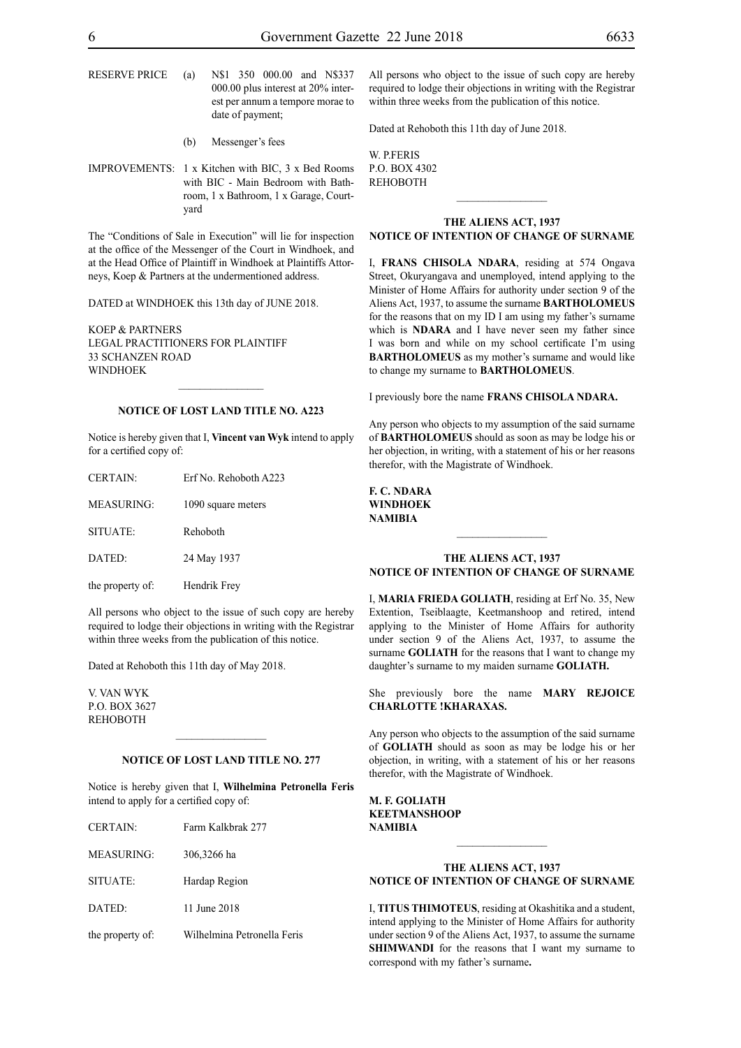RESERVE PRICE (a) N\$1 350 000.00 and N\$337 000.00 plus interest at 20% interest per annum a tempore morae to date of payment;

- (b) Messenger's fees
- IMPROVEMENTS: 1 x Kitchen with BIC, 3 x Bed Rooms with BIC - Main Bedroom with Bathroom, 1 x Bathroom, 1 x Garage, Courtyard

The "Conditions of Sale in Execution" will lie for inspection at the office of the Messenger of the Court in Windhoek, and at the Head Office of Plaintiff in Windhoek at Plaintiffs Attorneys, Koep & Partners at the undermentioned address.

DATED at WINDHOEK this 13th day of JUNE 2018.

KOEP & PARTNERS LEGAL PRACTITIONERS FOR Plaintiff 33 SCHANZEN ROAD **WINDHOEK** 

#### **NOTICE OF LOST LAND TITLE NO. A223**

 $\frac{1}{2}$ 

Notice is hereby given that I, **Vincent van Wyk** intend to apply for a certified copy of:

| <b>CERTAIN:</b>   | Erf No. Rehoboth A223 |
|-------------------|-----------------------|
| <b>MEASURING:</b> | 1090 square meters    |
| SITUATE:          | Rehoboth              |
| DATED:            | 24 May 1937           |
| the property of:  | Hendrik Frey          |

All persons who object to the issue of such copy are hereby required to lodge their objections in writing with the Registrar within three weeks from the publication of this notice.

Dated at Rehoboth this 11th day of May 2018.

v. van wyk p.o. box 3627 **REHOBOTH** 

#### **NOTICE OF LOST LAND TITLE NO. 277**

 $\frac{1}{2}$ 

Notice is hereby given that I, **Wilhelmina Petronella Feris**  intend to apply for a certified copy of:

| <b>CERTAIN:</b>   | Farm Kalkbrak 277           |
|-------------------|-----------------------------|
| <b>MEASURING:</b> | 306,3266 ha                 |
| SITUATE:          | Hardap Region               |
| DATED:            | 11 June 2018                |
| the property of:  | Wilhelmina Petronella Feris |

All persons who object to the issue of such copy are hereby required to lodge their objections in writing with the Registrar within three weeks from the publication of this notice.

Dated at Rehoboth this 11th day of June 2018.

W. P.F.RIS p.o. box 4302 **REHOBOTH** 

# **THE ALIENS ACT, 1937**

# **NOTICE OF INTENTION OF CHANGE OF SURNAME**

I, **FRANS CHISOLA NDARA**, residing at 574 Ongava Street, Okuryangava and unemployed, intend applying to the Minister of Home Affairs for authority under section 9 of the Aliens Act, 1937, to assume the surname **BARTHOLOMEUS** for the reasons that on my ID I am using my father's surname which is **NDARA** and I have never seen my father since I was born and while on my school certificate I'm using **BARTHOLOMEUS** as my mother's surname and would like to change my surname to **BARTHOLOMEUS**.

I previously bore the name **FRANS CHISOLA NDARA.**

Any person who objects to my assumption of the said surname of **BARTHOLOMEUS** should as soon as may be lodge his or her objection, in writing, with a statement of his or her reasons therefor, with the Magistrate of Windhoek.

| E. C. NDARA |
|-------------|
| WINDHOEK    |
| NAMIBIA     |

## **THE ALIENS ACT, 1937 NOTICE OF INTENTION OF CHANGE OF SURNAME**

I, **maria frieda goliath**, residing at Erf No. 35, New Extention, Tseiblaagte, Keetmanshoop and retired, intend applying to the Minister of Home Affairs for authority under section 9 of the Aliens Act, 1937, to assume the surname **GOLIATH** for the reasons that I want to change my daughter's surname to my maiden surname **GOLIATH.**

She previously bore the name **MARY REJOICE CHARLOTTE !KHARAXAS.**

Any person who objects to the assumption of the said surname of **GOLIATH** should as soon as may be lodge his or her objection, in writing, with a statement of his or her reasons therefor, with the Magistrate of Windhoek.

**m. f. goliath KEETMANSHOOP NAMIBIA**

# **THE ALIENS ACT, 1937 NOTICE OF INTENTION OF CHANGE OF SURNAME**

 $\frac{1}{2}$ 

I, **titus thimoteus**, residing at Okashitika and a student, intend applying to the Minister of Home Affairs for authority under section 9 of the Aliens Act, 1937, to assume the surname **SHIMWANDI** for the reasons that I want my surname to correspond with my father's surname**.**